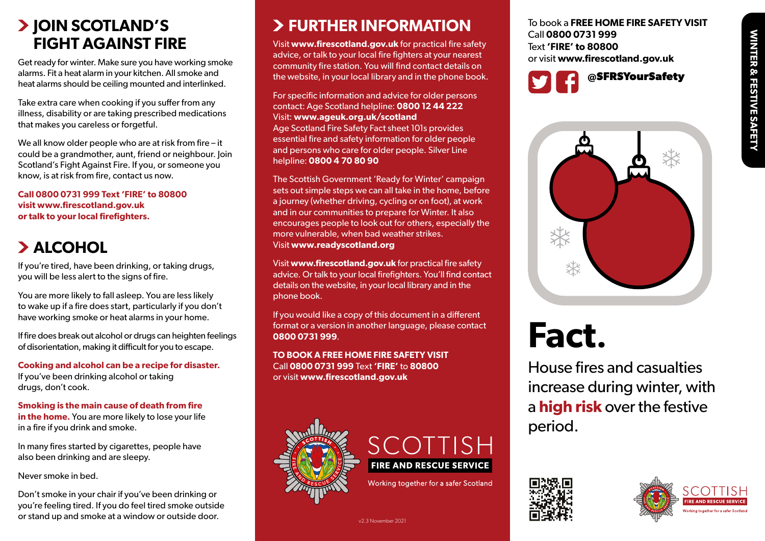#### **JOIN SCOTLAND'S FIGHT AGAINST FIRE**

Get ready for winter. Make sure you have working smoke alarms. Fit a heat alarm in your kitchen. All smoke and heat alarms should be ceiling mounted and interlinked.

Take extra care when cooking if you suffer from any illness, disability or are taking prescribed medications that makes you careless or forgetful.

We all know older people who are at risk from fire – it could be a grandmother, aunt, friend or neighbour. Join Scotland's Fight Against Fire. If you, or someone you know, is at risk from fire, contact us now.

**Call 0800 0731 999 Text 'FIRE' to 80800 visit www.firescotland.gov.uk or talk to your local firefighters.**

## **ALCOHOL**

If you're tired, have been drinking, or taking drugs, you will be less alert to the signs of fire.

You are more likely to fall asleep. You are less likely to wake up if a fire does start, particularly if you don't have working smoke or heat alarms in your home.

If fire does break out alcohol or drugs can heighten feelings of disorientation, making it difficult for you to escape.

**Cooking and alcohol can be a recipe for disaster.** If you've been drinking alcohol or taking drugs, don't cook.

**Smoking is the main cause of death from fire in the home.** You are more likely to lose your life in a fire if you drink and smoke.

In many fires started by cigarettes, people have also been drinking and are sleepy.

Never smoke in bed.

Don't smoke in your chair if you've been drinking or you're feeling tired. If you do feel tired smoke outside or stand up and smoke at a window or outside door.

### **FURTHER INFORMATION**

Visit **www.firescotland.gov.uk** for practical fire safety advice, or talk to your local fire fighters at your nearest community fire station. You will find contact details on the website, in your local library and in the phone book.

For specific information and advice for older persons contact: Age Scotland helpline: **0800 12 44 222** Visit: **www.ageuk.org.uk/scotland** Age Scotland Fire Safety Fact sheet 101s provides essential fire and safety information for older people and persons who care for older people. Silver Line helpline: **0800 4 70 80 90**

The Scottish Government 'Ready for Winter' campaign sets out simple steps we can all take in the home, before a journey (whether driving, cycling or on foot), at work and in our communities to prepare for Winter. It also encourages people to look out for others, especially the more vulnerable, when bad weather strikes. Visit **www.readyscotland.org**

Visit **www.firescotland.gov.uk** for practical fire safety advice. Or talk to your local firefighters. You'll find contact details on the website, in your local library and in the phone book.

If you would like a copy of this document in a different format or a version in another language, please contact **0800 0731 999**.

**TO BOOK A FREE HOME FIRE SAFETY VISIT** Call **0800 0731 999** Text **'FIRE'** to **80800** or visit **www.firescotland.gov.uk**





Working together for a safer Scotland

v2.3 November 2021

To book a **FREE HOME FIRE SAFETY VISIT** Call **0800 0731 999** Text **'FIRE' to 80800**  or visit **www.firescotland.gov.uk**





# **Fact.**

House fires and casualties increase during winter, with a **high risk** over the festive period.